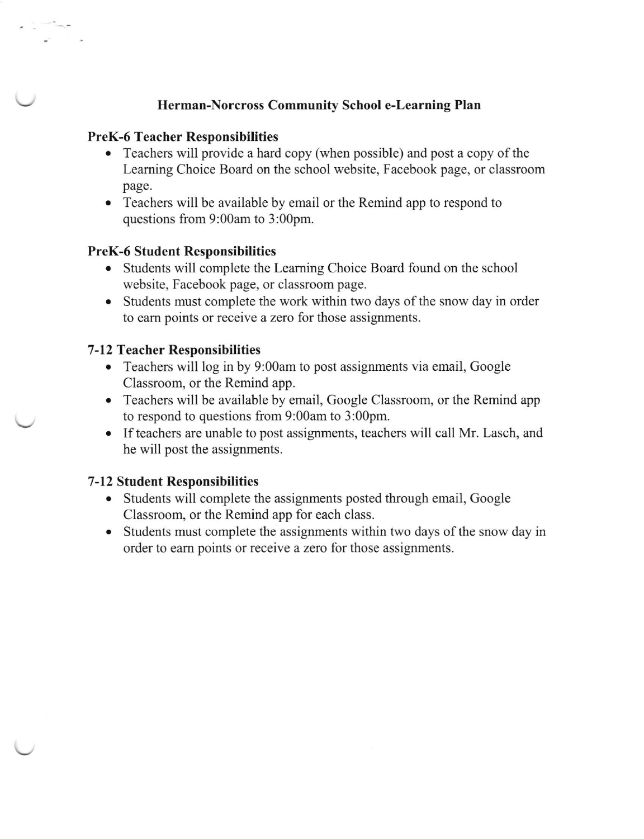# Herman-Norcross Community School e-Learning Plan

### PreK-6 Teacher Responsibilities

- Teachers will provide a hard copy (when possible) and post a copy of the Learning Choice Board on the school website, Facebook page, or classroom page.
- . Teachers will be available by email or the Remind app to respond to questions from 9:00am to 3:00pm.

### PreK-6 Student Responsibilities

- Students will complete the Learning Choice Board found on the school website, Facebook page, or classroom page.
- Students must complete the work within two days of the snow day in order to eam points or receive a zero for those assignments.

### 7-12 Teacher Responsibilities

- Teachers will log in by 9:00am to post assignments via email, Google Classroom, or the Remind app.
- . Teachers will be available by email, Google Classroom, or the Remind app to respond to questions from 9:00am to 3:00pm.
- o If teachers are unable to post assignments, teachers will call Mr. Lasch, and he will post the assignments.

## 7-l 2 Student Responsibilities

- Students will complete the assignments posted through email, Google Classroom, or the Remind app for each class.
- o Students must complete the assignments within two days of the snow day in order to earn points or receive a zero for those assignments.